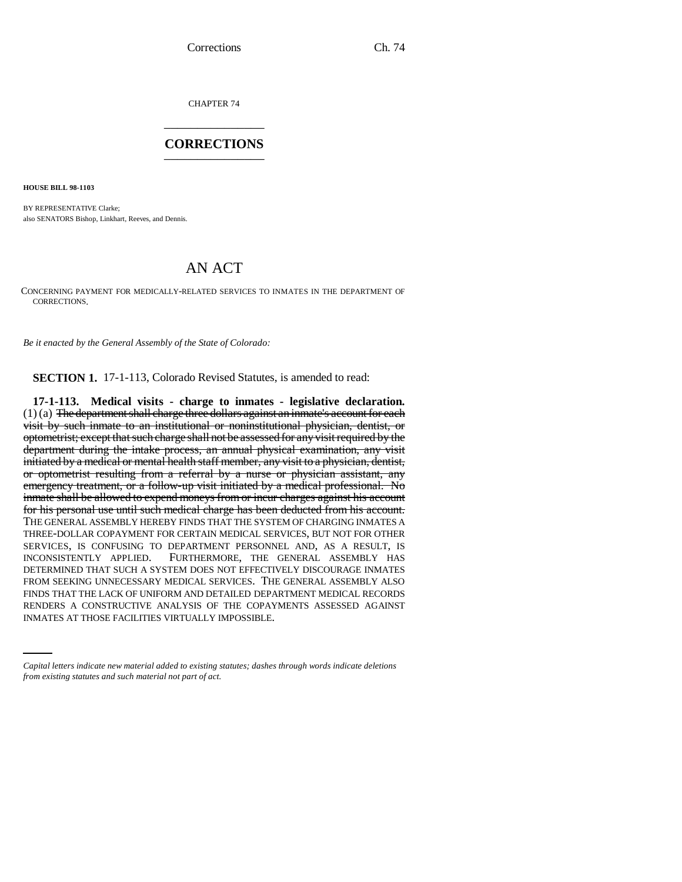CHAPTER 74 \_\_\_\_\_\_\_\_\_\_\_\_\_\_\_

## **CORRECTIONS** \_\_\_\_\_\_\_\_\_\_\_\_\_\_\_

**HOUSE BILL 98-1103**

BY REPRESENTATIVE Clarke; also SENATORS Bishop, Linkhart, Reeves, and Dennis.

## AN ACT

CONCERNING PAYMENT FOR MEDICALLY-RELATED SERVICES TO INMATES IN THE DEPARTMENT OF CORRECTIONS.

*Be it enacted by the General Assembly of the State of Colorado:*

**SECTION 1.** 17-1-113, Colorado Revised Statutes, is amended to read:

FINDS THAT THE LACK OF UNIFORM AND DETAILED DEPARTMENT MEDICAL RECORDS **17-1-113. Medical visits - charge to inmates - legislative declaration.**  $(1)$  (a) The department shall charge three dollars against an inmate's account for each visit by such inmate to an institutional or noninstitutional physician, dentist, or optometrist; except that such charge shall not be assessed for any visit required by the department during the intake process, an annual physical examination, any visit initiated by a medical or mental health staff member, any visit to a physician, dentist, or optometrist resulting from a referral by a nurse or physician assistant, any emergency treatment, or a follow-up visit initiated by a medical professional. No inmate shall be allowed to expend moneys from or incur charges against his account for his personal use until such medical charge has been deducted from his account. THE GENERAL ASSEMBLY HEREBY FINDS THAT THE SYSTEM OF CHARGING INMATES A THREE-DOLLAR COPAYMENT FOR CERTAIN MEDICAL SERVICES, BUT NOT FOR OTHER SERVICES, IS CONFUSING TO DEPARTMENT PERSONNEL AND, AS A RESULT, IS INCONSISTENTLY APPLIED. FURTHERMORE, THE GENERAL ASSEMBLY HAS DETERMINED THAT SUCH A SYSTEM DOES NOT EFFECTIVELY DISCOURAGE INMATES FROM SEEKING UNNECESSARY MEDICAL SERVICES. THE GENERAL ASSEMBLY ALSO RENDERS A CONSTRUCTIVE ANALYSIS OF THE COPAYMENTS ASSESSED AGAINST INMATES AT THOSE FACILITIES VIRTUALLY IMPOSSIBLE.

*Capital letters indicate new material added to existing statutes; dashes through words indicate deletions from existing statutes and such material not part of act.*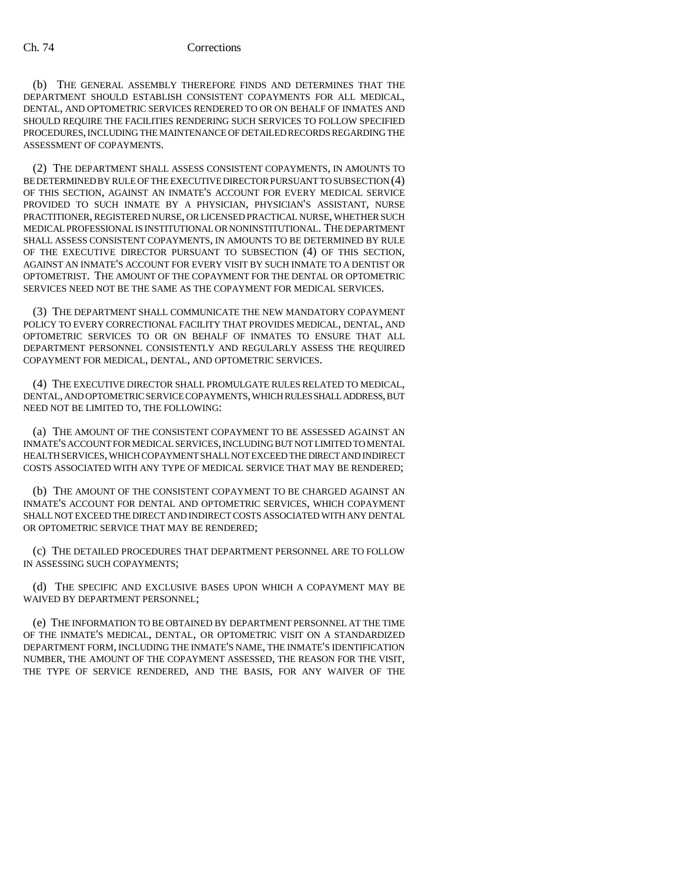(b) THE GENERAL ASSEMBLY THEREFORE FINDS AND DETERMINES THAT THE DEPARTMENT SHOULD ESTABLISH CONSISTENT COPAYMENTS FOR ALL MEDICAL, DENTAL, AND OPTOMETRIC SERVICES RENDERED TO OR ON BEHALF OF INMATES AND SHOULD REQUIRE THE FACILITIES RENDERING SUCH SERVICES TO FOLLOW SPECIFIED PROCEDURES, INCLUDING THE MAINTENANCE OF DETAILED RECORDS REGARDING THE ASSESSMENT OF COPAYMENTS.

(2) THE DEPARTMENT SHALL ASSESS CONSISTENT COPAYMENTS, IN AMOUNTS TO BE DETERMINED BY RULE OF THE EXECUTIVE DIRECTOR PURSUANT TO SUBSECTION (4) OF THIS SECTION, AGAINST AN INMATE'S ACCOUNT FOR EVERY MEDICAL SERVICE PROVIDED TO SUCH INMATE BY A PHYSICIAN, PHYSICIAN'S ASSISTANT, NURSE PRACTITIONER, REGISTERED NURSE, OR LICENSED PRACTICAL NURSE, WHETHER SUCH MEDICAL PROFESSIONAL IS INSTITUTIONAL OR NONINSTITUTIONAL. THE DEPARTMENT SHALL ASSESS CONSISTENT COPAYMENTS, IN AMOUNTS TO BE DETERMINED BY RULE OF THE EXECUTIVE DIRECTOR PURSUANT TO SUBSECTION (4) OF THIS SECTION, AGAINST AN INMATE'S ACCOUNT FOR EVERY VISIT BY SUCH INMATE TO A DENTIST OR OPTOMETRIST. THE AMOUNT OF THE COPAYMENT FOR THE DENTAL OR OPTOMETRIC SERVICES NEED NOT BE THE SAME AS THE COPAYMENT FOR MEDICAL SERVICES.

(3) THE DEPARTMENT SHALL COMMUNICATE THE NEW MANDATORY COPAYMENT POLICY TO EVERY CORRECTIONAL FACILITY THAT PROVIDES MEDICAL, DENTAL, AND OPTOMETRIC SERVICES TO OR ON BEHALF OF INMATES TO ENSURE THAT ALL DEPARTMENT PERSONNEL CONSISTENTLY AND REGULARLY ASSESS THE REQUIRED COPAYMENT FOR MEDICAL, DENTAL, AND OPTOMETRIC SERVICES.

(4) THE EXECUTIVE DIRECTOR SHALL PROMULGATE RULES RELATED TO MEDICAL, DENTAL, AND OPTOMETRIC SERVICE COPAYMENTS, WHICH RULES SHALL ADDRESS, BUT NEED NOT BE LIMITED TO, THE FOLLOWING:

(a) THE AMOUNT OF THE CONSISTENT COPAYMENT TO BE ASSESSED AGAINST AN INMATE'S ACCOUNT FOR MEDICAL SERVICES, INCLUDING BUT NOT LIMITED TO MENTAL HEALTH SERVICES, WHICH COPAYMENT SHALL NOT EXCEED THE DIRECT AND INDIRECT COSTS ASSOCIATED WITH ANY TYPE OF MEDICAL SERVICE THAT MAY BE RENDERED;

(b) THE AMOUNT OF THE CONSISTENT COPAYMENT TO BE CHARGED AGAINST AN INMATE'S ACCOUNT FOR DENTAL AND OPTOMETRIC SERVICES, WHICH COPAYMENT SHALL NOT EXCEED THE DIRECT AND INDIRECT COSTS ASSOCIATED WITH ANY DENTAL OR OPTOMETRIC SERVICE THAT MAY BE RENDERED;

(c) THE DETAILED PROCEDURES THAT DEPARTMENT PERSONNEL ARE TO FOLLOW IN ASSESSING SUCH COPAYMENTS;

(d) THE SPECIFIC AND EXCLUSIVE BASES UPON WHICH A COPAYMENT MAY BE WAIVED BY DEPARTMENT PERSONNEL;

(e) THE INFORMATION TO BE OBTAINED BY DEPARTMENT PERSONNEL AT THE TIME OF THE INMATE'S MEDICAL, DENTAL, OR OPTOMETRIC VISIT ON A STANDARDIZED DEPARTMENT FORM, INCLUDING THE INMATE'S NAME, THE INMATE'S IDENTIFICATION NUMBER, THE AMOUNT OF THE COPAYMENT ASSESSED, THE REASON FOR THE VISIT, THE TYPE OF SERVICE RENDERED, AND THE BASIS, FOR ANY WAIVER OF THE